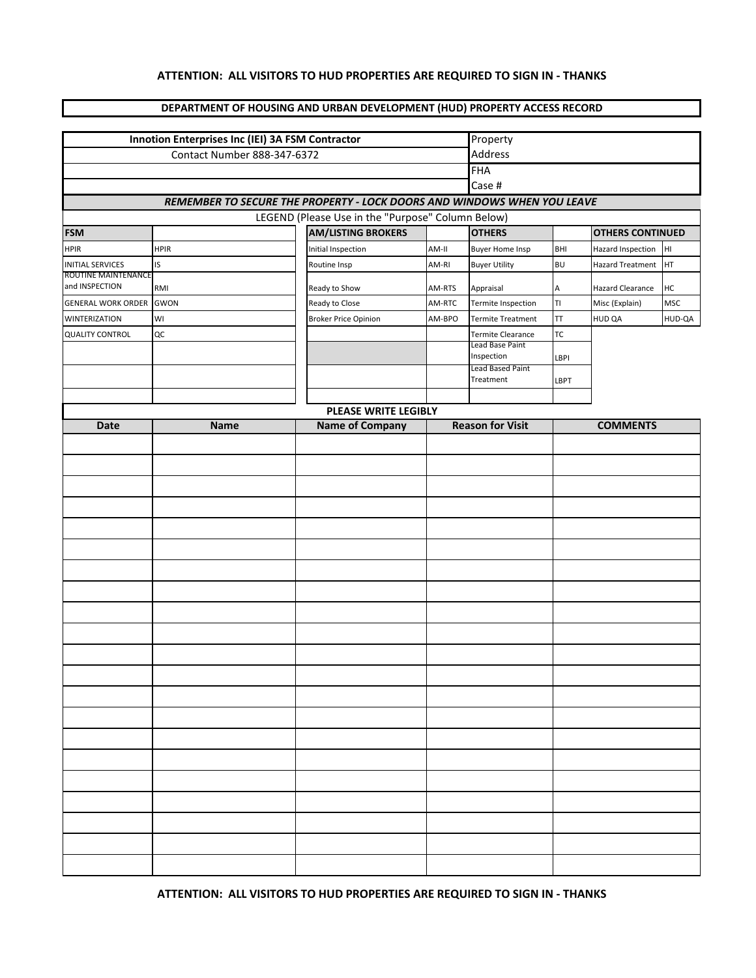## **ATTENTION: ALL VISITORS TO HUD PROPERTIES ARE REQUIRED TO SIGN IN - THANKS**

## **DEPARTMENT OF HOUSING AND URBAN DEVELOPMENT (HUD) PROPERTY ACCESS RECORD**

| Innotion Enterprises Inc (IEI) 3A FSM Contractor | Property           |                                                                                |                  |                                                      |                 |                                    |                  |  |
|--------------------------------------------------|--------------------|--------------------------------------------------------------------------------|------------------|------------------------------------------------------|-----------------|------------------------------------|------------------|--|
|                                                  | Address            |                                                                                |                  |                                                      |                 |                                    |                  |  |
|                                                  | FHA<br>Case #      |                                                                                |                  |                                                      |                 |                                    |                  |  |
|                                                  |                    |                                                                                |                  |                                                      |                 |                                    |                  |  |
|                                                  |                    | REMEMBER TO SECURE THE PROPERTY - LOCK DOORS AND WINDOWS WHEN YOU LEAVE        |                  |                                                      |                 |                                    |                  |  |
| <b>FSM</b>                                       |                    | LEGEND (Please Use in the "Purpose" Column Below)<br><b>AM/LISTING BROKERS</b> |                  | <b>OTHERS</b>                                        |                 | <b>OTHERS CONTINUED</b>            |                  |  |
| <b>HPIR</b>                                      | <b>HPIR</b>        | Initial Inspection                                                             | AM-II            | <b>Buyer Home Insp</b>                               | BHI             | <b>Hazard Inspection</b>           | HI               |  |
| <b>INITIAL SERVICES</b>                          | IS                 | Routine Insp                                                                   | AM-RI            | <b>Buyer Utility</b>                                 | <b>BU</b>       | <b>Hazard Treatment</b>            | HT.              |  |
| ROUTINE MAINTENANCE<br>and INSPECTION            |                    |                                                                                |                  |                                                      |                 |                                    |                  |  |
|                                                  | RMI<br><b>GWON</b> | Ready to Show<br>Ready to Close                                                | AM-RTS<br>AM-RTC | Appraisal<br>Termite Inspection                      | А<br>TI         | Hazard Clearance<br>Misc (Explain) | HC<br><b>MSC</b> |  |
| <b>GENERAL WORK ORDER</b>                        |                    |                                                                                |                  |                                                      |                 |                                    |                  |  |
| <b>WINTERIZATION</b><br><b>QUALITY CONTROL</b>   | WI<br>QC           | <b>Broker Price Opinion</b>                                                    | AM-BPO           | <b>Termite Treatment</b><br><b>Termite Clearance</b> | TT<br><b>TC</b> | HUD QA                             | HUD-QA           |  |
|                                                  |                    |                                                                                |                  | Lead Base Paint                                      |                 |                                    |                  |  |
|                                                  |                    |                                                                                |                  | Inspection<br>Lead Based Paint                       | LBPI            |                                    |                  |  |
|                                                  |                    |                                                                                |                  | Treatment                                            | LBPT            |                                    |                  |  |
|                                                  |                    |                                                                                |                  |                                                      |                 |                                    |                  |  |
|                                                  |                    |                                                                                |                  |                                                      |                 |                                    |                  |  |
| Date                                             | <b>Name</b>        | <b>Name of Company</b>                                                         |                  | <b>Reason for Visit</b>                              |                 | <b>COMMENTS</b>                    |                  |  |
|                                                  |                    |                                                                                |                  |                                                      |                 |                                    |                  |  |
|                                                  |                    |                                                                                |                  |                                                      |                 |                                    |                  |  |
|                                                  |                    |                                                                                |                  |                                                      |                 |                                    |                  |  |
|                                                  |                    |                                                                                |                  |                                                      |                 |                                    |                  |  |
|                                                  |                    |                                                                                |                  |                                                      |                 |                                    |                  |  |
|                                                  |                    |                                                                                |                  |                                                      |                 |                                    |                  |  |
|                                                  |                    |                                                                                |                  |                                                      |                 |                                    |                  |  |
|                                                  |                    |                                                                                |                  |                                                      |                 |                                    |                  |  |
|                                                  |                    |                                                                                |                  |                                                      |                 |                                    |                  |  |
|                                                  |                    |                                                                                |                  |                                                      |                 |                                    |                  |  |
|                                                  |                    |                                                                                |                  |                                                      |                 |                                    |                  |  |
|                                                  |                    |                                                                                |                  |                                                      |                 |                                    |                  |  |
|                                                  |                    |                                                                                |                  |                                                      |                 |                                    |                  |  |
|                                                  |                    |                                                                                |                  |                                                      |                 |                                    |                  |  |
|                                                  |                    |                                                                                |                  |                                                      |                 |                                    |                  |  |
|                                                  |                    |                                                                                |                  |                                                      |                 |                                    |                  |  |
|                                                  |                    |                                                                                |                  |                                                      |                 |                                    |                  |  |
|                                                  |                    |                                                                                |                  |                                                      |                 |                                    |                  |  |
|                                                  |                    |                                                                                |                  |                                                      |                 |                                    |                  |  |
|                                                  |                    |                                                                                |                  |                                                      |                 |                                    |                  |  |
|                                                  |                    |                                                                                |                  |                                                      |                 |                                    |                  |  |
|                                                  |                    |                                                                                |                  |                                                      |                 |                                    |                  |  |
|                                                  |                    |                                                                                |                  |                                                      |                 |                                    |                  |  |
|                                                  |                    |                                                                                |                  |                                                      |                 |                                    |                  |  |
|                                                  |                    |                                                                                |                  |                                                      |                 |                                    |                  |  |
|                                                  |                    |                                                                                |                  |                                                      |                 |                                    |                  |  |

**ATTENTION: ALL VISITORS TO HUD PROPERTIES ARE REQUIRED TO SIGN IN - THANKS**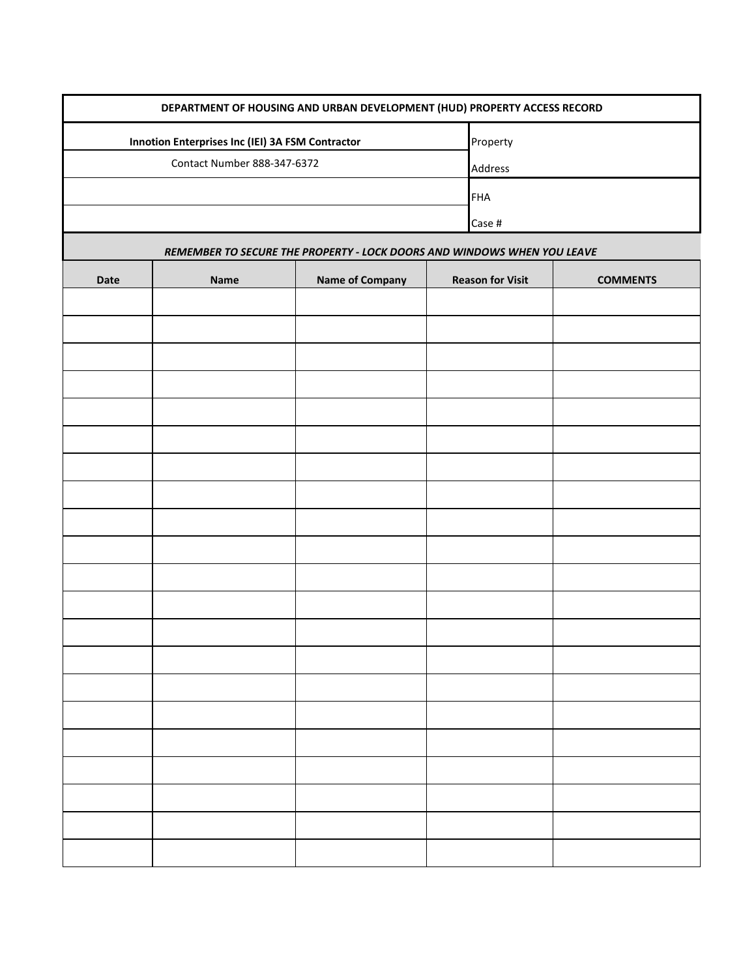| DEPARTMENT OF HOUSING AND URBAN DEVELOPMENT (HUD) PROPERTY ACCESS RECORD |                                                  |                        |                         |  |                 |  |  |  |  |  |
|--------------------------------------------------------------------------|--------------------------------------------------|------------------------|-------------------------|--|-----------------|--|--|--|--|--|
|                                                                          | Innotion Enterprises Inc (IEI) 3A FSM Contractor |                        | Property                |  |                 |  |  |  |  |  |
|                                                                          | Contact Number 888-347-6372                      |                        |                         |  | Address         |  |  |  |  |  |
|                                                                          |                                                  |                        | <b>FHA</b>              |  |                 |  |  |  |  |  |
|                                                                          |                                                  |                        | Case #                  |  |                 |  |  |  |  |  |
| REMEMBER TO SECURE THE PROPERTY - LOCK DOORS AND WINDOWS WHEN YOU LEAVE  |                                                  |                        |                         |  |                 |  |  |  |  |  |
| Date                                                                     | <b>Name</b>                                      | <b>Name of Company</b> | <b>Reason for Visit</b> |  | <b>COMMENTS</b> |  |  |  |  |  |
|                                                                          |                                                  |                        |                         |  |                 |  |  |  |  |  |
|                                                                          |                                                  |                        |                         |  |                 |  |  |  |  |  |
|                                                                          |                                                  |                        |                         |  |                 |  |  |  |  |  |
|                                                                          |                                                  |                        |                         |  |                 |  |  |  |  |  |
|                                                                          |                                                  |                        |                         |  |                 |  |  |  |  |  |
|                                                                          |                                                  |                        |                         |  |                 |  |  |  |  |  |
|                                                                          |                                                  |                        |                         |  |                 |  |  |  |  |  |
|                                                                          |                                                  |                        |                         |  |                 |  |  |  |  |  |
|                                                                          |                                                  |                        |                         |  |                 |  |  |  |  |  |
|                                                                          |                                                  |                        |                         |  |                 |  |  |  |  |  |
|                                                                          |                                                  |                        |                         |  |                 |  |  |  |  |  |
|                                                                          |                                                  |                        |                         |  |                 |  |  |  |  |  |
|                                                                          |                                                  |                        |                         |  |                 |  |  |  |  |  |
|                                                                          |                                                  |                        |                         |  |                 |  |  |  |  |  |
|                                                                          |                                                  |                        |                         |  |                 |  |  |  |  |  |
|                                                                          |                                                  |                        |                         |  |                 |  |  |  |  |  |
|                                                                          |                                                  |                        |                         |  |                 |  |  |  |  |  |
|                                                                          |                                                  |                        |                         |  |                 |  |  |  |  |  |
|                                                                          |                                                  |                        |                         |  |                 |  |  |  |  |  |
|                                                                          |                                                  |                        |                         |  |                 |  |  |  |  |  |
|                                                                          |                                                  |                        |                         |  |                 |  |  |  |  |  |